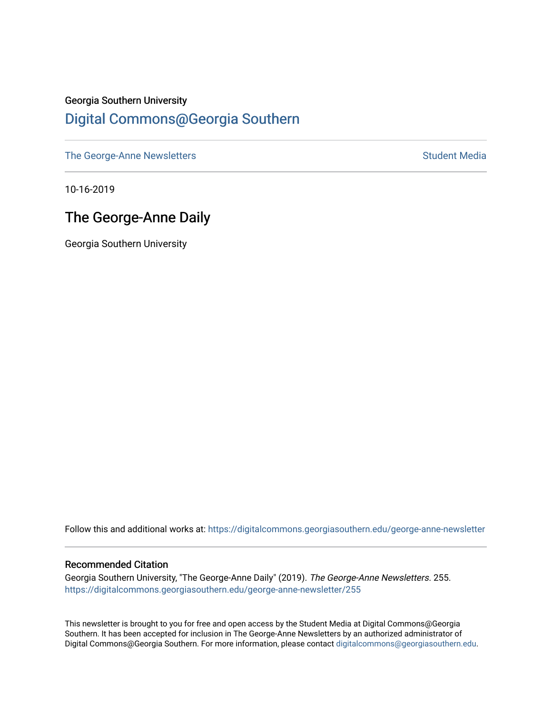## Georgia Southern University [Digital Commons@Georgia Southern](https://digitalcommons.georgiasouthern.edu/)

[The George-Anne Newsletters](https://digitalcommons.georgiasouthern.edu/george-anne-newsletter) **Student Media** Student Media

10-16-2019

# The George-Anne Daily

Georgia Southern University

Follow this and additional works at: [https://digitalcommons.georgiasouthern.edu/george-anne-newsletter](https://digitalcommons.georgiasouthern.edu/george-anne-newsletter?utm_source=digitalcommons.georgiasouthern.edu%2Fgeorge-anne-newsletter%2F255&utm_medium=PDF&utm_campaign=PDFCoverPages)

#### Recommended Citation

Georgia Southern University, "The George-Anne Daily" (2019). The George-Anne Newsletters. 255. [https://digitalcommons.georgiasouthern.edu/george-anne-newsletter/255](https://digitalcommons.georgiasouthern.edu/george-anne-newsletter/255?utm_source=digitalcommons.georgiasouthern.edu%2Fgeorge-anne-newsletter%2F255&utm_medium=PDF&utm_campaign=PDFCoverPages) 

This newsletter is brought to you for free and open access by the Student Media at Digital Commons@Georgia Southern. It has been accepted for inclusion in The George-Anne Newsletters by an authorized administrator of Digital Commons@Georgia Southern. For more information, please contact [digitalcommons@georgiasouthern.edu.](mailto:digitalcommons@georgiasouthern.edu)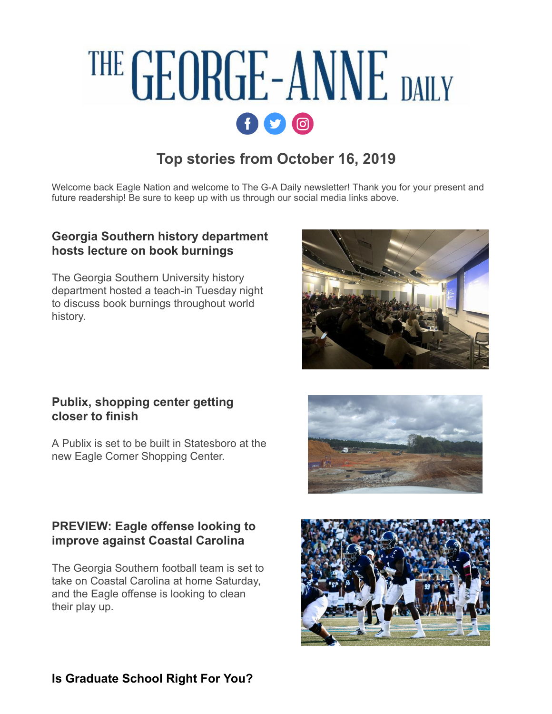# THE GEORGE-ANNE DAILY  $f$  $q$  $q$

# **Top stories from October 16, 2019**

Welcome back Eagle Nation and welcome to The G-A Daily newsletter! Thank you for your present and future readership! Be sure to keep up with us through our social media links above.

## **[Georgia Southern history department](http://r20.rs6.net/tn.jsp?f=001pY01MFKFtxvgSUww1MVQJERW3AZIXFqjL50buybbEE_95yJVSo5CY-mMO12dOrXEYlCMF8jDV6wG75V62m-hj03NwN9jVx5at0y0b6-8qOKMDKlSOYefMFeDJa8RLjQP704e9TNGorZrQrcQwsedf2c2yTvj4Mg1bDLcrjgdKCc0RM5BvzA5IlO5xIF4x46zrlPLM5KqX4tk93Q-hspbSlCyXXaHmApG&c=G0Ruuyy7_l6M9W_64dqonB58lH1pGtZETRidWDTlaAVv2BUKj67YGQ==&ch=1MXDhm-CUvWCKVNN_4Iz_tLsbBMx7-3J2JsFrXMaCFH8J8PnLUEX0Q==) hosts lecture on book burnings**

The Georgia Southern University history department hosted a teach-in Tuesday night to discuss book burnings throughout world history.

### **[Publix, shopping center getting](http://r20.rs6.net/tn.jsp?f=001pY01MFKFtxvgSUww1MVQJERW3AZIXFqjL50buybbEE_95yJVSo5CY-mMO12dOrXElcM-Mj_5mupowrzmCPV7QHV6bjvTOzc7_yMeJ-QZjk_6Z-iyadDxx_BaA2pbHV1fUUHzwzzb2siIHVBCMagbT8R-h9MzJHAlt-PlfugnchZyBxa1VqLQLSL7PgObpT8n6J9_hJAstF5mA7FNwvGnYJFe3_ZOrDRV&c=G0Ruuyy7_l6M9W_64dqonB58lH1pGtZETRidWDTlaAVv2BUKj67YGQ==&ch=1MXDhm-CUvWCKVNN_4Iz_tLsbBMx7-3J2JsFrXMaCFH8J8PnLUEX0Q==) closer to finish**

A Publix is set to be built in Statesboro at the new Eagle Corner Shopping Center.

## **[PREVIEW: Eagle offense looking to](http://r20.rs6.net/tn.jsp?f=001pY01MFKFtxvgSUww1MVQJERW3AZIXFqjL50buybbEE_95yJVSo5CY-mMO12dOrXEmOAa5OU1o1O-MyB-FFUNHQG3i7z8-ABOuGz8XzqEzoXo4THley0Dq7HHbz7c04LdRsdm2TYE_aUQbPtUjn5sleqi0h0g5510AYrAeEkMRDqpdOyO_Mauus60LIszgd3UW1BkdjqJkk3apwSmDliYmTClqPG_SksQ-7y9qB7IqhE=&c=G0Ruuyy7_l6M9W_64dqonB58lH1pGtZETRidWDTlaAVv2BUKj67YGQ==&ch=1MXDhm-CUvWCKVNN_4Iz_tLsbBMx7-3J2JsFrXMaCFH8J8PnLUEX0Q==) improve against Coastal Carolina**

The Georgia Southern football team is set to take on Coastal Carolina at home Saturday, and the Eagle offense is looking to clean their play up.